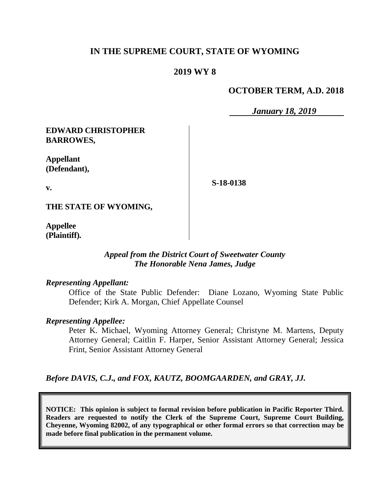# **IN THE SUPREME COURT, STATE OF WYOMING**

## **2019 WY 8**

## **OCTOBER TERM, A.D. 2018**

*January 18, 2019*

## **EDWARD CHRISTOPHER BARROWES,**

**Appellant (Defendant),**

**v.**

**S-18-0138**

**THE STATE OF WYOMING,**

**Appellee (Plaintiff).**

### *Appeal from the District Court of Sweetwater County The Honorable Nena James, Judge*

#### *Representing Appellant:*

Office of the State Public Defender: Diane Lozano, Wyoming State Public Defender; Kirk A. Morgan, Chief Appellate Counsel

#### *Representing Appellee:*

Peter K. Michael, Wyoming Attorney General; Christyne M. Martens, Deputy Attorney General; Caitlin F. Harper, Senior Assistant Attorney General; Jessica Frint, Senior Assistant Attorney General

*Before DAVIS, C.J., and FOX, KAUTZ, BOOMGAARDEN, and GRAY, JJ.*

**NOTICE: This opinion is subject to formal revision before publication in Pacific Reporter Third. Readers are requested to notify the Clerk of the Supreme Court, Supreme Court Building, Cheyenne, Wyoming 82002, of any typographical or other formal errors so that correction may be made before final publication in the permanent volume.**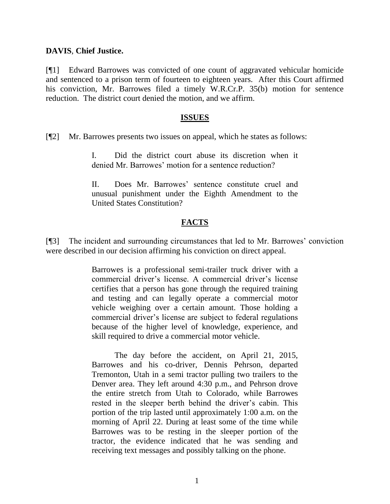## **DAVIS**, **Chief Justice.**

[¶1] Edward Barrowes was convicted of one count of aggravated vehicular homicide and sentenced to a prison term of fourteen to eighteen years. After this Court affirmed his conviction, Mr. Barrowes filed a timely W.R.Cr.P. 35(b) motion for sentence reduction. The district court denied the motion, and we affirm.

### **ISSUES**

[¶2] Mr. Barrowes presents two issues on appeal, which he states as follows:

I. Did the district court abuse its discretion when it denied Mr. Barrowes' motion for a sentence reduction?

II. Does Mr. Barrowes' sentence constitute cruel and unusual punishment under the Eighth Amendment to the United States Constitution?

## **FACTS**

[¶3] The incident and surrounding circumstances that led to Mr. Barrowes' conviction were described in our decision affirming his conviction on direct appeal.

> Barrowes is a professional semi-trailer truck driver with a commercial driver's license. A commercial driver's license certifies that a person has gone through the required training and testing and can legally operate a commercial motor vehicle weighing over a certain amount. Those holding a commercial driver's license are subject to federal regulations because of the higher level of knowledge, experience, and skill required to drive a commercial motor vehicle.

> The day before the accident, on April 21, 2015, Barrowes and his co-driver, Dennis Pehrson, departed Tremonton, Utah in a semi tractor pulling two trailers to the Denver area. They left around 4:30 p.m., and Pehrson drove the entire stretch from Utah to Colorado, while Barrowes rested in the sleeper berth behind the driver's cabin. This portion of the trip lasted until approximately 1:00 a.m. on the morning of April 22. During at least some of the time while Barrowes was to be resting in the sleeper portion of the tractor, the evidence indicated that he was sending and receiving text messages and possibly talking on the phone.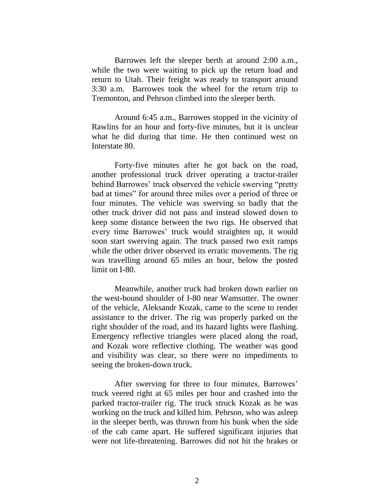Barrowes left the sleeper berth at around 2:00 a.m., while the two were waiting to pick up the return load and return to Utah. Their freight was ready to transport around 3:30 a.m. Barrowes took the wheel for the return trip to Tremonton, and Pehrson climbed into the sleeper berth.

Around 6:45 a.m., Barrowes stopped in the vicinity of Rawlins for an hour and forty-five minutes, but it is unclear what he did during that time. He then continued west on Interstate 80.

Forty-five minutes after he got back on the road, another professional truck driver operating a tractor-trailer behind Barrowes' truck observed the vehicle swerving "pretty bad at times" for around three miles over a period of three or four minutes. The vehicle was swerving so badly that the other truck driver did not pass and instead slowed down to keep some distance between the two rigs. He observed that every time Barrowes' truck would straighten up, it would soon start swerving again. The truck passed two exit ramps while the other driver observed its erratic movements. The rig was travelling around 65 miles an hour, below the posted limit on I-80.

Meanwhile, another truck had broken down earlier on the west-bound shoulder of I-80 near Wamsutter. The owner of the vehicle, Aleksandr Kozak, came to the scene to render assistance to the driver. The rig was properly parked on the right shoulder of the road, and its hazard lights were flashing. Emergency reflective triangles were placed along the road, and Kozak wore reflective clothing. The weather was good and visibility was clear, so there were no impediments to seeing the broken-down truck.

After swerving for three to four minutes, Barrowes' truck veered right at 65 miles per hour and crashed into the parked tractor-trailer rig. The truck struck Kozak as he was working on the truck and killed him. Pehrson, who was asleep in the sleeper berth, was thrown from his bunk when the side of the cab came apart. He suffered significant injuries that were not life-threatening. Barrowes did not hit the brakes or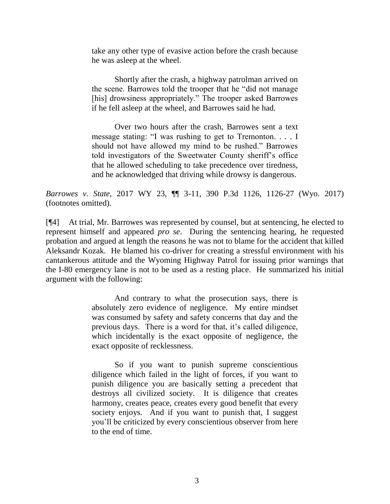take any other type of evasive action before the crash because he was asleep at the wheel.

Shortly after the crash, a highway patrolman arrived on the scene. Barrowes told the trooper that he "did not manage [his] drowsiness appropriately." The trooper asked Barrowes if he fell asleep at the wheel, and Barrowes said he had.

Over two hours after the crash, Barrowes sent a text message stating: "I was rushing to get to Tremonton. . . . I should not have allowed my mind to be rushed." Barrowes told investigators of the Sweetwater County sheriff's office that he allowed scheduling to take precedence over tiredness, and he acknowledged that driving while drowsy is dangerous.

*Barrowes v. State*, 2017 WY 23, ¶¶ 3-11, 390 P.3d 1126, 1126-27 (Wyo. 2017) (footnotes omitted).

[¶4] At trial, Mr. Barrowes was represented by counsel, but at sentencing, he elected to represent himself and appeared *pro se*. During the sentencing hearing, he requested probation and argued at length the reasons he was not to blame for the accident that killed Aleksandr Kozak. He blamed his co-driver for creating a stressful environment with his cantankerous attitude and the Wyoming Highway Patrol for issuing prior warnings that the I-80 emergency lane is not to be used as a resting place. He summarized his initial argument with the following:

> And contrary to what the prosecution says, there is absolutely zero evidence of negligence. My entire mindset was consumed by safety and safety concerns that day and the previous days. There is a word for that, it's called diligence, which incidentally is the exact opposite of negligence, the exact opposite of recklessness.

> So if you want to punish supreme conscientious diligence which failed in the light of forces, if you want to punish diligence you are basically setting a precedent that destroys all civilized society. It is diligence that creates harmony, creates peace, creates every good benefit that every society enjoys. And if you want to punish that, I suggest you'll be criticized by every conscientious observer from here to the end of time.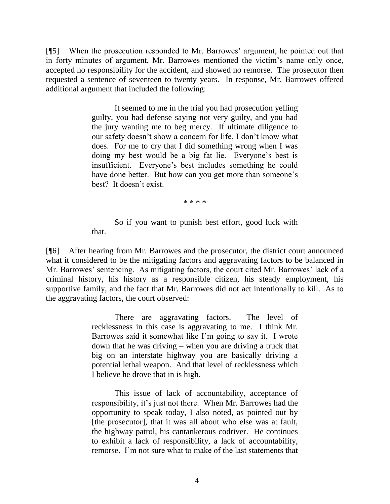[¶5] When the prosecution responded to Mr. Barrowes' argument, he pointed out that in forty minutes of argument, Mr. Barrowes mentioned the victim's name only once, accepted no responsibility for the accident, and showed no remorse. The prosecutor then requested a sentence of seventeen to twenty years. In response, Mr. Barrowes offered additional argument that included the following:

> It seemed to me in the trial you had prosecution yelling guilty, you had defense saying not very guilty, and you had the jury wanting me to beg mercy. If ultimate diligence to our safety doesn't show a concern for life, I don't know what does. For me to cry that I did something wrong when I was doing my best would be a big fat lie. Everyone's best is insufficient. Everyone's best includes something he could have done better. But how can you get more than someone's best? It doesn't exist.

> > \* \* \* \*

So if you want to punish best effort, good luck with that.

[¶6] After hearing from Mr. Barrowes and the prosecutor, the district court announced what it considered to be the mitigating factors and aggravating factors to be balanced in Mr. Barrowes' sentencing. As mitigating factors, the court cited Mr. Barrowes' lack of a criminal history, his history as a responsible citizen, his steady employment, his supportive family, and the fact that Mr. Barrowes did not act intentionally to kill. As to the aggravating factors, the court observed:

> There are aggravating factors. The level of recklessness in this case is aggravating to me. I think Mr. Barrowes said it somewhat like I'm going to say it. I wrote down that he was driving – when you are driving a truck that big on an interstate highway you are basically driving a potential lethal weapon. And that level of recklessness which I believe he drove that in is high.

> This issue of lack of accountability, acceptance of responsibility, it's just not there. When Mr. Barrowes had the opportunity to speak today, I also noted, as pointed out by [the prosecutor], that it was all about who else was at fault, the highway patrol, his cantankerous codriver. He continues to exhibit a lack of responsibility, a lack of accountability, remorse. I'm not sure what to make of the last statements that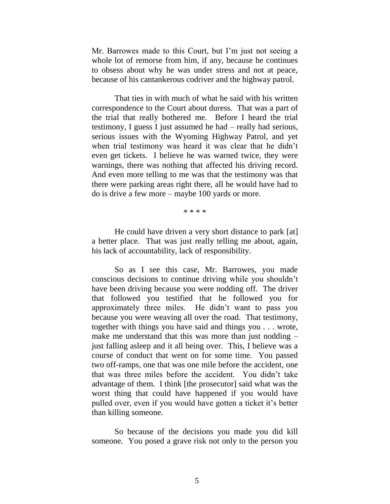Mr. Barrowes made to this Court, but I'm just not seeing a whole lot of remorse from him, if any, because he continues to obsess about why he was under stress and not at peace, because of his cantankerous codriver and the highway patrol.

That ties in with much of what he said with his written correspondence to the Court about duress. That was a part of the trial that really bothered me. Before I heard the trial testimony, I guess I just assumed he had – really had serious, serious issues with the Wyoming Highway Patrol, and yet when trial testimony was heard it was clear that he didn't even get tickets. I believe he was warned twice, they were warnings, there was nothing that affected his driving record. And even more telling to me was that the testimony was that there were parking areas right there, all he would have had to do is drive a few more – maybe 100 yards or more.

\* \* \* \*

He could have driven a very short distance to park [at] a better place. That was just really telling me about, again, his lack of accountability, lack of responsibility.

So as I see this case, Mr. Barrowes, you made conscious decisions to continue driving while you shouldn't have been driving because you were nodding off. The driver that followed you testified that he followed you for approximately three miles. He didn't want to pass you because you were weaving all over the road. That testimony, together with things you have said and things you . . . wrote, make me understand that this was more than just nodding – just falling asleep and it all being over. This, I believe was a course of conduct that went on for some time. You passed two off-ramps, one that was one mile before the accident, one that was three miles before the accident. You didn't take advantage of them. I think [the prosecutor] said what was the worst thing that could have happened if you would have pulled over, even if you would have gotten a ticket it's better than killing someone.

So because of the decisions you made you did kill someone. You posed a grave risk not only to the person you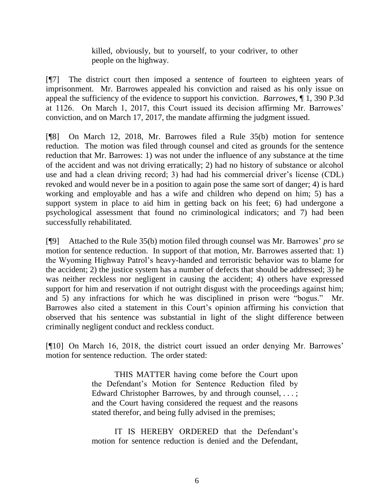killed, obviously, but to yourself, to your codriver, to other people on the highway.

[¶7] The district court then imposed a sentence of fourteen to eighteen years of imprisonment. Mr. Barrowes appealed his conviction and raised as his only issue on appeal the sufficiency of the evidence to support his conviction. *Barrowes*, ¶ 1, 390 P.3d at 1126. On March 1, 2017, this Court issued its decision affirming Mr. Barrowes' conviction, and on March 17, 2017, the mandate affirming the judgment issued.

[¶8] On March 12, 2018, Mr. Barrowes filed a Rule 35(b) motion for sentence reduction. The motion was filed through counsel and cited as grounds for the sentence reduction that Mr. Barrowes: 1) was not under the influence of any substance at the time of the accident and was not driving erratically; 2) had no history of substance or alcohol use and had a clean driving record; 3) had had his commercial driver's license (CDL) revoked and would never be in a position to again pose the same sort of danger; 4) is hard working and employable and has a wife and children who depend on him; 5) has a support system in place to aid him in getting back on his feet; 6) had undergone a psychological assessment that found no criminological indicators; and 7) had been successfully rehabilitated.

[¶9] Attached to the Rule 35(b) motion filed through counsel was Mr. Barrowes' *pro se* motion for sentence reduction. In support of that motion, Mr. Barrowes asserted that: 1) the Wyoming Highway Patrol's heavy-handed and terroristic behavior was to blame for the accident; 2) the justice system has a number of defects that should be addressed; 3) he was neither reckless nor negligent in causing the accident; 4) others have expressed support for him and reservation if not outright disgust with the proceedings against him; and 5) any infractions for which he was disciplined in prison were "bogus." Mr. Barrowes also cited a statement in this Court's opinion affirming his conviction that observed that his sentence was substantial in light of the slight difference between criminally negligent conduct and reckless conduct.

[¶10] On March 16, 2018, the district court issued an order denying Mr. Barrowes' motion for sentence reduction. The order stated:

> THIS MATTER having come before the Court upon the Defendant's Motion for Sentence Reduction filed by Edward Christopher Barrowes, by and through counsel, ...; and the Court having considered the request and the reasons stated therefor, and being fully advised in the premises;

> IT IS HEREBY ORDERED that the Defendant's motion for sentence reduction is denied and the Defendant,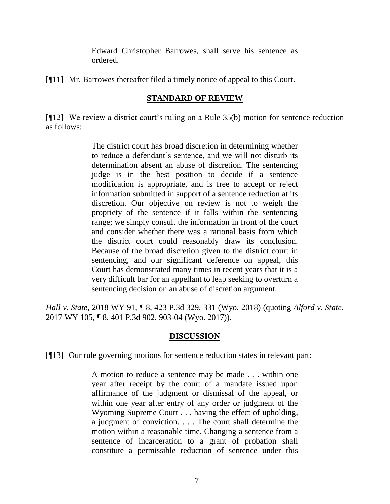Edward Christopher Barrowes, shall serve his sentence as ordered.

[¶11] Mr. Barrowes thereafter filed a timely notice of appeal to this Court.

# **STANDARD OF REVIEW**

[¶12] We review a district court's ruling on a [Rule 35\(b\)](http://www.westlaw.com/Link/Document/FullText?findType=L&pubNum=1008764&cite=WYRRCRPR35&originatingDoc=Iceed63009b4611e892c4ce5625aacf64&refType=LQ&originationContext=document&vr=3.0&rs=cblt1.0&transitionType=DocumentItem&contextData=(sc.Search)) motion for sentence reduction as follows:

> The district court has broad discretion in determining whether to reduce a defendant's sentence, and we will not disturb its determination absent an abuse of discretion. The sentencing judge is in the best position to decide if a sentence modification is appropriate, and is free to accept or reject information submitted in support of a sentence reduction at its discretion. Our objective on review is not to weigh the propriety of the sentence if it falls within the sentencing range; we simply consult the information in front of the court and consider whether there was a rational basis from which the district court could reasonably draw its conclusion. Because of the broad discretion given to the district court in sentencing, and our significant deference on appeal, this Court has demonstrated many times in recent years that it is a very difficult bar for an appellant to leap seeking to overturn a sentencing decision on an abuse of discretion argument.

*Hall v. State*, 2018 WY 91, ¶ 8, 423 P.3d 329, 331 (Wyo. 2018) (quoting *[Alford v. State](http://www.westlaw.com/Link/Document/FullText?findType=Y&serNum=2042595082&pubNum=0004645&originatingDoc=Iceed63009b4611e892c4ce5625aacf64&refType=RP&fi=co_pp_sp_4645_903&originationContext=document&vr=3.0&rs=cblt1.0&transitionType=DocumentItem&contextData=(sc.Search)#co_pp_sp_4645_903)*, [2017 WY 105, ¶ 8, 401 P.3d 902, 903-04 \(Wyo.](http://www.westlaw.com/Link/Document/FullText?findType=Y&serNum=2042595082&pubNum=0004645&originatingDoc=Iceed63009b4611e892c4ce5625aacf64&refType=RP&fi=co_pp_sp_4645_903&originationContext=document&vr=3.0&rs=cblt1.0&transitionType=DocumentItem&contextData=(sc.Search)#co_pp_sp_4645_903) 2017)).

## **DISCUSSION**

[¶13] Our rule governing motions for sentence reduction states in relevant part:

A motion to reduce a sentence may be made . . . within one year after receipt by the court of a mandate issued upon affirmance of the judgment or dismissal of the appeal, or within one year after entry of any order or judgment of the Wyoming Supreme Court . . . having the effect of upholding, a judgment of conviction. . . . The court shall determine the motion within a reasonable time. Changing a sentence from a sentence of incarceration to a grant of probation shall constitute a permissible reduction of sentence under this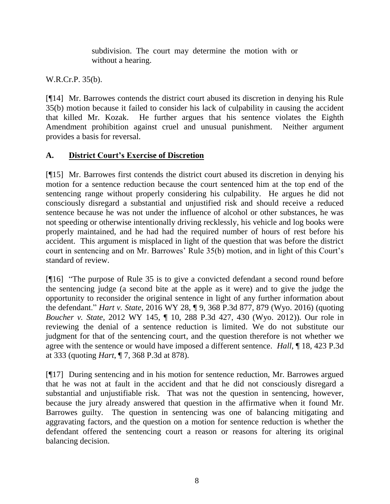subdivision. The court may determine the motion with or without a hearing.

[W.R.Cr.P. 35\(b\).](http://www.westlaw.com/Link/Document/FullText?findType=L&pubNum=1008764&cite=WYRRCRPR35&originatingDoc=Iceed63009b4611e892c4ce5625aacf64&refType=LQ&originationContext=document&vr=3.0&rs=cblt1.0&transitionType=DocumentItem&contextData=(sc.Search))

[¶14] Mr. Barrowes contends the district court abused its discretion in denying his Rule 35(b) motion because it failed to consider his lack of culpability in causing the accident that killed Mr. Kozak. He further argues that his sentence violates the Eighth Amendment prohibition against cruel and unusual punishment. Neither argument provides a basis for reversal.

# **A. District Court's Exercise of Discretion**

[¶15] Mr. Barrowes first contends the district court abused its discretion in denying his motion for a sentence reduction because the court sentenced him at the top end of the sentencing range without properly considering his culpability. He argues he did not consciously disregard a substantial and unjustified risk and should receive a reduced sentence because he was not under the influence of alcohol or other substances, he was not speeding or otherwise intentionally driving recklessly, his vehicle and log books were properly maintained, and he had had the required number of hours of rest before his accident. This argument is misplaced in light of the question that was before the district court in sentencing and on Mr. Barrowes' Rule 35(b) motion, and in light of this Court's standard of review.

[¶16] "The purpose of [Rule 35](http://www.westlaw.com/Link/Document/FullText?findType=L&pubNum=1008764&cite=WYRRCRPR35&originatingDoc=Iceed63009b4611e892c4ce5625aacf64&refType=LQ&originationContext=document&vr=3.0&rs=cblt1.0&transitionType=DocumentItem&contextData=(sc.Search)) is to give a convicted defendant a second round before the sentencing judge (a second bite at the apple as it were) and to give the judge the opportunity to reconsider the original sentence in light of any further information about the defendant." *Hart v. State*[, 2016 WY 28, ¶ 9, 368 P.3d 877, 879](http://www.westlaw.com/Link/Document/FullText?findType=Y&serNum=2038395050&pubNum=0004645&originatingDoc=Iceed63009b4611e892c4ce5625aacf64&refType=RP&fi=co_pp_sp_4645_878&originationContext=document&vr=3.0&rs=cblt1.0&transitionType=DocumentItem&contextData=(sc.Search)#co_pp_sp_4645_878) (Wyo. 2016) (quoting *Boucher v. State*[, 2012 WY 145, ¶ 10, 288 P.3d 427, 430 \(Wyo. 2012\)](http://www.westlaw.com/Link/Document/FullText?findType=Y&serNum=2029240096&pubNum=0004645&originatingDoc=Iceed63009b4611e892c4ce5625aacf64&refType=RP&fi=co_pp_sp_4645_430&originationContext=document&vr=3.0&rs=cblt1.0&transitionType=DocumentItem&contextData=(sc.Search)#co_pp_sp_4645_430)). Our role in reviewing the denial of a sentence reduction is limited. We do not substitute our judgment for that of the sentencing court, and the question therefore is not whether we agree with the sentence or would have imposed a different sentence. *Hall*, ¶ 18, 423 P.3d at 333 (quoting *Hart*[, ¶ 7, 368 P.3d at 878\)](http://www.westlaw.com/Link/Document/FullText?findType=Y&serNum=2038395050&pubNum=0004645&originatingDoc=Iceed63009b4611e892c4ce5625aacf64&refType=RP&fi=co_pp_sp_4645_878&originationContext=document&vr=3.0&rs=cblt1.0&transitionType=DocumentItem&contextData=(sc.Search)#co_pp_sp_4645_878).

[¶17] During sentencing and in his motion for sentence reduction, Mr. Barrowes argued that he was not at fault in the accident and that he did not consciously disregard a substantial and unjustifiable risk. That was not the question in sentencing, however, because the jury already answered that question in the affirmative when it found Mr. Barrowes guilty. The question in sentencing was one of balancing mitigating and aggravating factors, and the question on a motion for sentence reduction is whether the defendant offered the sentencing court a reason or reasons for altering its original balancing decision.